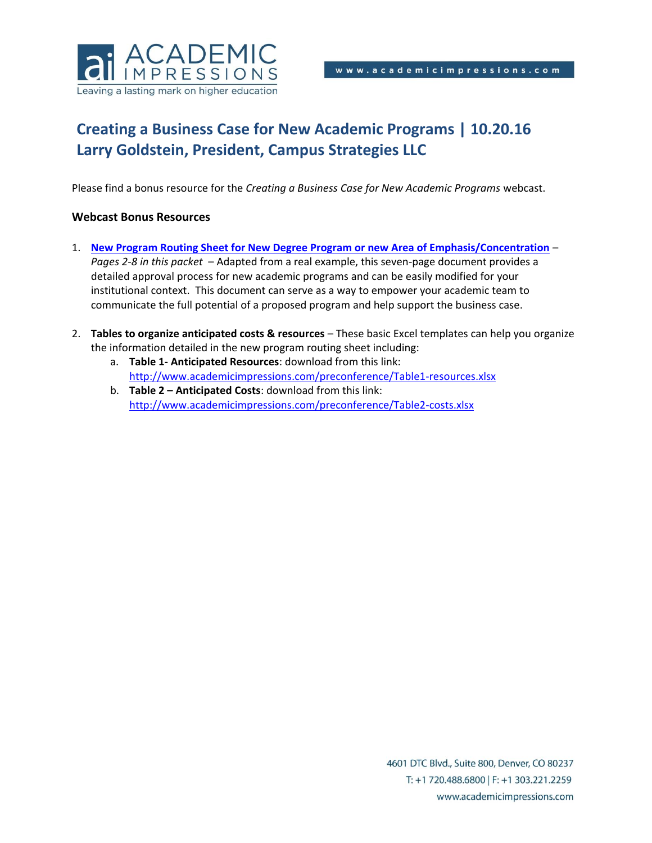

# **Creating a Business Case for New Academic Programs | 10.20.16 Larry Goldstein, President, Campus Strategies LLC**

Please find a bonus resource for the *Creating a Business Case for New Academic Programs* webcast.

#### **Webcast Bonus Resources**

- 1. **[New Program Routing Sheet for New Degree Program or new Area of Emphasis/Concentration](#page-1-0)** *Pages 2-8 in this packet* – Adapted from a real example, this seven-page document provides a detailed approval process for new academic programs and can be easily modified for your institutional context. This document can serve as a way to empower your academic team to communicate the full potential of a proposed program and help support the business case.
- 2. **Tables to organize anticipated costs & resources** These basic Excel templates can help you organize the information detailed in the new program routing sheet including:
	- a. **Table 1- Anticipated Resources**: download from this link: <http://www.academicimpressions.com/preconference/Table1-resources.xlsx>
	- b. **Table 2 – Anticipated Costs**: download from this link: <http://www.academicimpressions.com/preconference/Table2-costs.xlsx>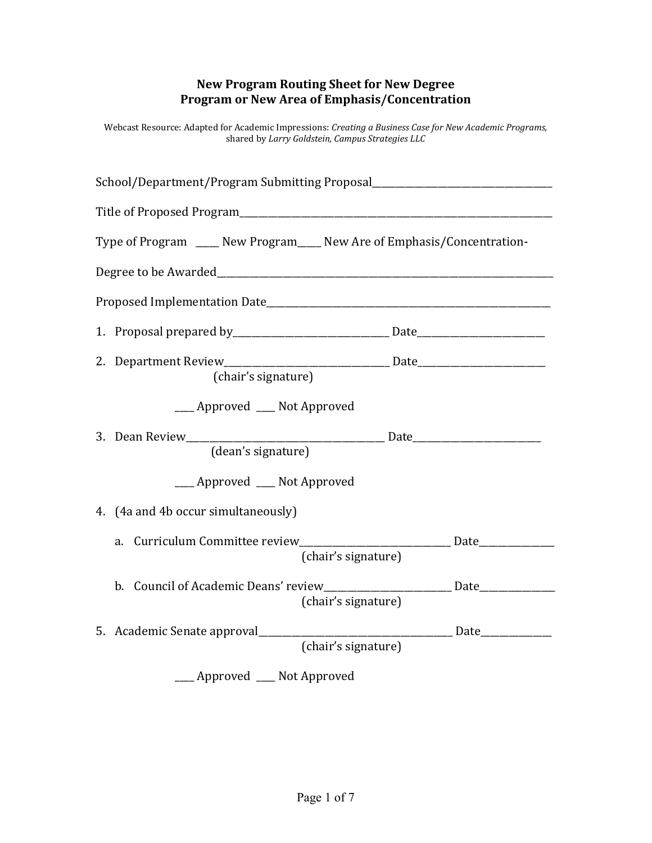## **New Program Routing Sheet for New Degree Program or New Area of Emphasis/Concentration**

<span id="page-1-0"></span>Webcast Resource: Adapted for Academic Impressions: *Creating a Business Case for New Academic Programs,* shared by *Larry Goldstein, Campus Strategies LLC*

| School/Department/Program Submitting Proposal___________________________________                        |  |
|---------------------------------------------------------------------------------------------------------|--|
|                                                                                                         |  |
| Type of Program ____ New Program____ New Are of Emphasis/Concentration-                                 |  |
|                                                                                                         |  |
|                                                                                                         |  |
|                                                                                                         |  |
| (chair's signature)                                                                                     |  |
| ___ Approved ___ Not Approved                                                                           |  |
| (dean's signature)                                                                                      |  |
| __ Approved __ Not Approved                                                                             |  |
| 4. (4a and 4b occur simultaneously)                                                                     |  |
| a. Curriculum Committee review_________________________________ Date____________<br>(chair's signature) |  |
| b. Council of Academic Deans' review_________________________ Date______________<br>(chair's signature) |  |
| 5. Academic Senate approval________<br>(chair's signature)                                              |  |
| __ Approved __ Not Approved                                                                             |  |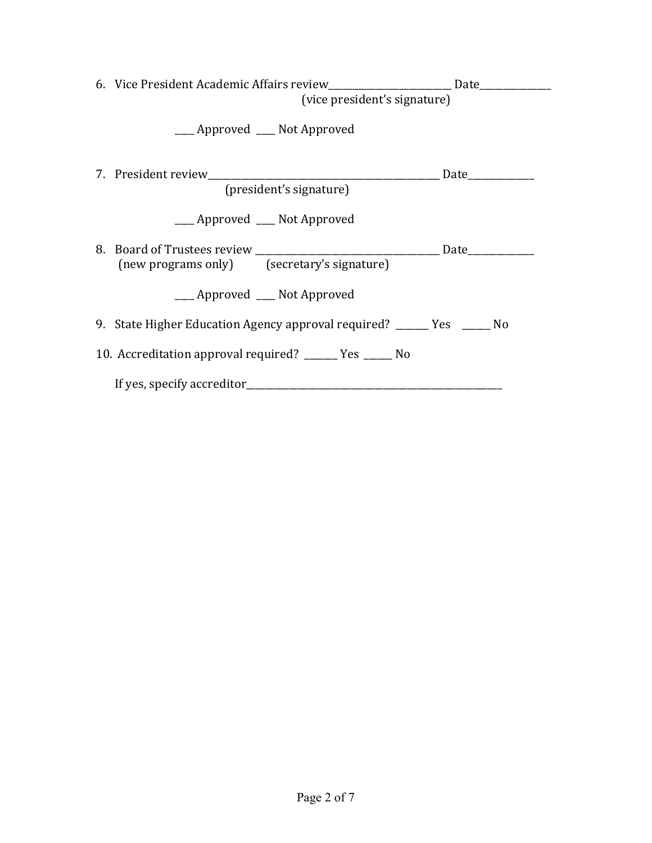|                                                          | 6. Vice President Academic Affairs review________________________ Date___________<br>(vice president's signature) |  |  |
|----------------------------------------------------------|-------------------------------------------------------------------------------------------------------------------|--|--|
|                                                          | ___ Approved ___ Not Approved                                                                                     |  |  |
|                                                          | (president's signature)                                                                                           |  |  |
|                                                          | ___ Approved ___ Not Approved                                                                                     |  |  |
|                                                          | (new programs only) (secretary's signature)                                                                       |  |  |
|                                                          | ____ Approved ____ Not Approved                                                                                   |  |  |
|                                                          | 9. State Higher Education Agency approval required? ______ Yes _____ No                                           |  |  |
| 10. Accreditation approval required? ______ Yes _____ No |                                                                                                                   |  |  |
|                                                          |                                                                                                                   |  |  |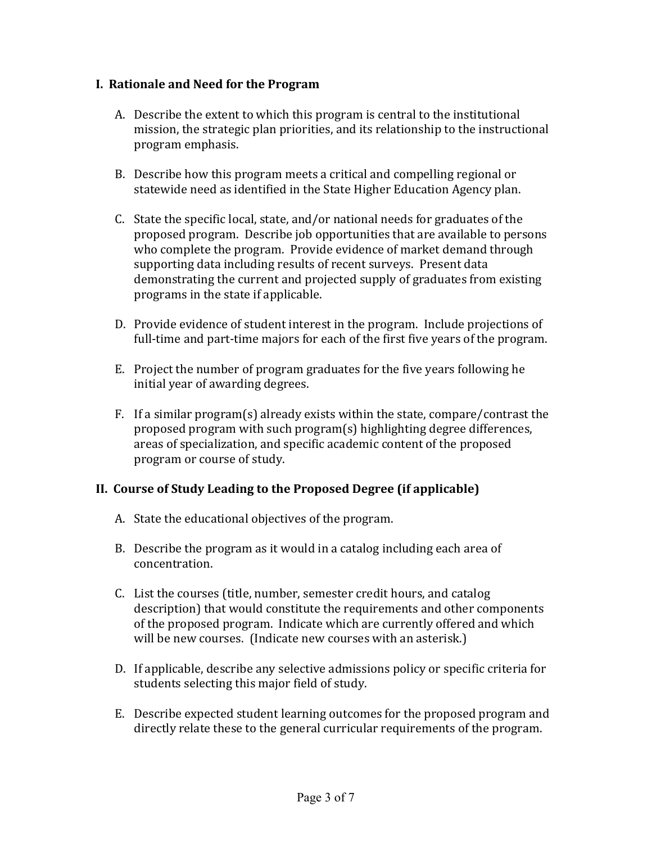### **I. Rationale and Need for the Program**

- A. Describe the extent to which this program is central to the institutional mission, the strategic plan priorities, and its relationship to the instructional program emphasis.
- B. Describe how this program meets a critical and compelling regional or statewide need as identified in the State Higher Education Agency plan.
- C. State the specific local, state, and/or national needs for graduates of the proposed program. Describe job opportunities that are available to persons who complete the program. Provide evidence of market demand through supporting data including results of recent surveys. Present data demonstrating the current and projected supply of graduates from existing programs in the state if applicable.
- D. Provide evidence of student interest in the program. Include projections of full-time and part-time majors for each of the first five years of the program.
- E. Project the number of program graduates for the five years following he initial year of awarding degrees.
- F. If a similar program(s) already exists within the state, compare/contrast the proposed program with such program $(s)$  highlighting degree differences, areas of specialization, and specific academic content of the proposed program or course of study.

## **II. Course of Study Leading to the Proposed Degree (if applicable)**

- A. State the educational objectives of the program.
- B. Describe the program as it would in a catalog including each area of concentration.
- C. List the courses (title, number, semester credit hours, and catalog description) that would constitute the requirements and other components of the proposed program. Indicate which are currently offered and which will be new courses. (Indicate new courses with an asterisk.)
- D. If applicable, describe any selective admissions policy or specific criteria for students selecting this major field of study.
- E. Describe expected student learning outcomes for the proposed program and directly relate these to the general curricular requirements of the program.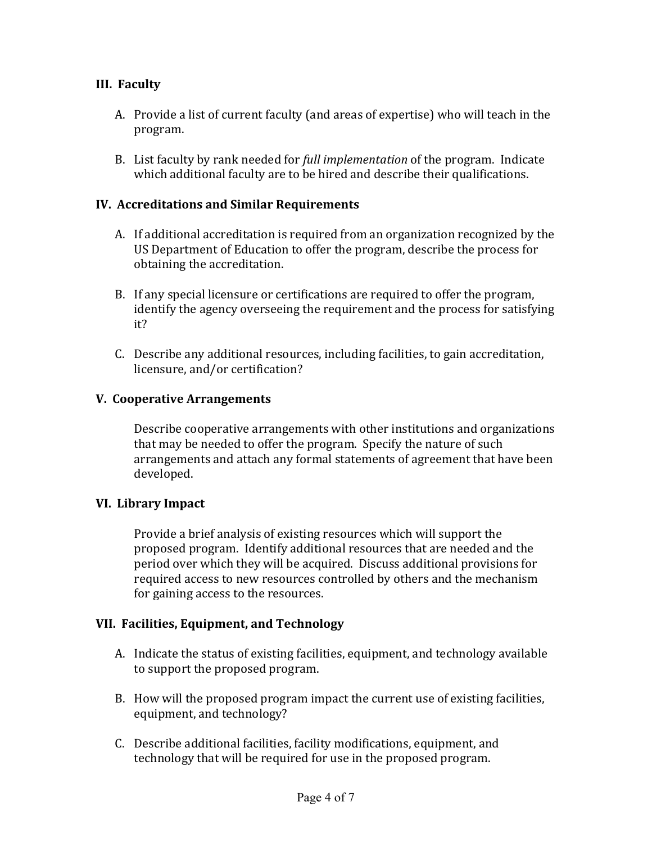## **III.** Faculty

- A. Provide a list of current faculty (and areas of expertise) who will teach in the program.
- B. List faculty by rank needed for *full implementation* of the program. Indicate which additional faculty are to be hired and describe their qualifications.

### **IV. Accreditations and Similar Requirements**

- A. If additional accreditation is required from an organization recognized by the US Department of Education to offer the program, describe the process for obtaining the accreditation.
- B. If any special licensure or certifications are required to offer the program, identify the agency overseeing the requirement and the process for satisfying it?
- C. Describe any additional resources, including facilities, to gain accreditation, licensure, and/or certification?

#### **V. Cooperative Arrangements**

Describe cooperative arrangements with other institutions and organizations that may be needed to offer the program. Specify the nature of such arrangements and attach any formal statements of agreement that have been developed. 

#### **VI. Library Impact**

Provide a brief analysis of existing resources which will support the proposed program. Identify additional resources that are needed and the period over which they will be acquired. Discuss additional provisions for required access to new resources controlled by others and the mechanism for gaining access to the resources.

#### **VII. Facilities, Equipment, and Technology**

- A. Indicate the status of existing facilities, equipment, and technology available to support the proposed program.
- B. How will the proposed program impact the current use of existing facilities, equipment, and technology?
- C. Describe additional facilities, facility modifications, equipment, and technology that will be required for use in the proposed program.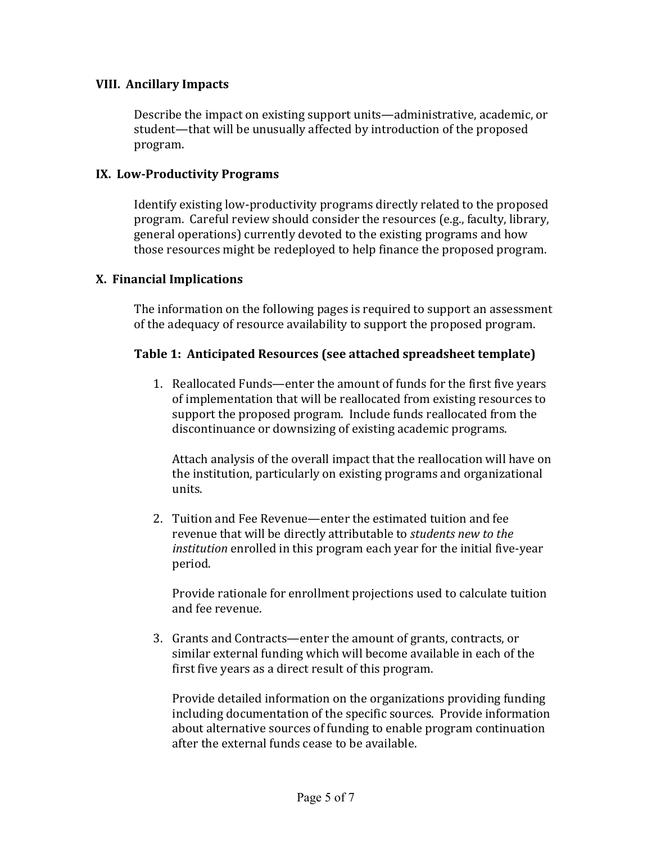#### **VIII. Ancillary Impacts**

Describe the impact on existing support units—administrative, academic, or student—that will be unusually affected by introduction of the proposed program. 

#### **IX. Low‐Productivity Programs**

Identify existing low-productivity programs directly related to the proposed program. Careful review should consider the resources (e.g., faculty, library, general operations) currently devoted to the existing programs and how those resources might be redeployed to help finance the proposed program.

#### **X. Financial Implications**

The information on the following pages is required to support an assessment of the adequacy of resource availability to support the proposed program.

#### **Table 1: Anticipated Resources (see attached spreadsheet template)**

1. Reallocated Funds—enter the amount of funds for the first five years of implementation that will be reallocated from existing resources to support the proposed program. Include funds reallocated from the discontinuance or downsizing of existing academic programs.

Attach analysis of the overall impact that the reallocation will have on the institution, particularly on existing programs and organizational units. 

2. Tuition and Fee Revenue—enter the estimated tuition and fee revenue that will be directly attributable to *students new to the institution* enrolled in this program each year for the initial five-year period. 

Provide rationale for enrollment projections used to calculate tuition and fee revenue.

3. Grants and Contracts—enter the amount of grants, contracts, or similar external funding which will become available in each of the first five years as a direct result of this program.

Provide detailed information on the organizations providing funding including documentation of the specific sources. Provide information about alternative sources of funding to enable program continuation after the external funds cease to be available.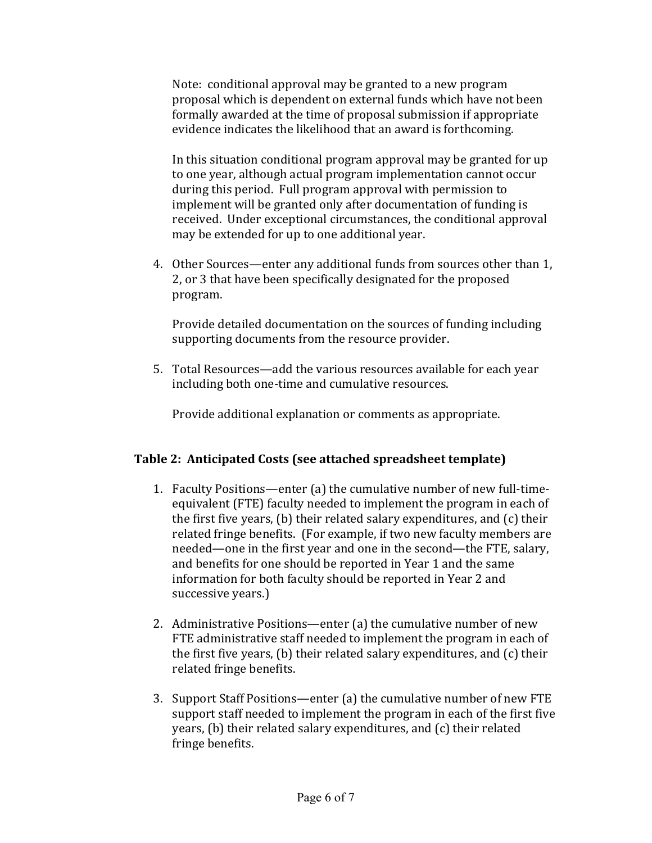Note: conditional approval may be granted to a new program proposal which is dependent on external funds which have not been formally awarded at the time of proposal submission if appropriate evidence indicates the likelihood that an award is forthcoming.

In this situation conditional program approval may be granted for up to one year, although actual program implementation cannot occur during this period. Full program approval with permission to implement will be granted only after documentation of funding is received. Under exceptional circumstances, the conditional approval may be extended for up to one additional year.

4. Other Sources—enter any additional funds from sources other than 1, 2, or 3 that have been specifically designated for the proposed program. 

Provide detailed documentation on the sources of funding including supporting documents from the resource provider.

5. Total Resources—add the various resources available for each year including both one-time and cumulative resources.

Provide additional explanation or comments as appropriate.

## **Table 2: Anticipated Costs (see attached spreadsheet template)**

- 1. Faculty Positions—enter (a) the cumulative number of new full-timeequivalent (FTE) faculty needed to implement the program in each of the first five years,  $(b)$  their related salary expenditures, and  $(c)$  their related fringe benefits. (For example, if two new faculty members are needed—one in the first year and one in the second—the FTE, salary, and benefits for one should be reported in Year 1 and the same information for both faculty should be reported in Year 2 and successive years.)
- 2. Administrative Positions—enter (a) the cumulative number of new FTE administrative staff needed to implement the program in each of the first five years,  $(b)$  their related salary expenditures, and  $(c)$  their related fringe benefits.
- 3. Support Staff Positions—enter  $(a)$  the cumulative number of new FTE support staff needed to implement the program in each of the first five years,  $(b)$  their related salary expenditures, and  $(c)$  their related fringe benefits.